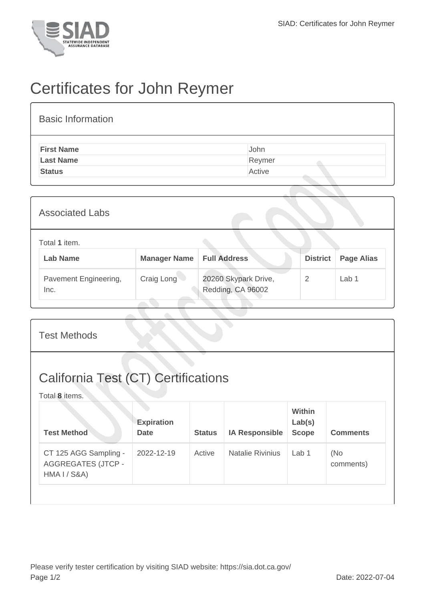

## Certificates for John Reymer

| <b>Basic Information</b> |        |
|--------------------------|--------|
| <b>First Name</b>        | John   |
| <b>Last Name</b>         | Reymer |
| <b>Status</b>            | Active |

| <b>Associated Labs</b>           |                     |                                           |                 |                   |  |  |
|----------------------------------|---------------------|-------------------------------------------|-----------------|-------------------|--|--|
| Total 1 item.<br><b>Lab Name</b> | <b>Manager Name</b> | <b>Full Address</b>                       | <b>District</b> | <b>Page Alias</b> |  |  |
| Pavement Engineering,<br>Inc.    | Craig Long          | 20260 Skypark Drive,<br>Redding, CA 96002 | 2               | Lab <sub>1</sub>  |  |  |

| <b>Test Methods</b>                                                |                                  |               |                         |                                         |                  |  |
|--------------------------------------------------------------------|----------------------------------|---------------|-------------------------|-----------------------------------------|------------------|--|
| <b>California Test (CT) Certifications</b><br>Total 8 items.       |                                  |               |                         |                                         |                  |  |
| <b>Test Method</b>                                                 | <b>Expiration</b><br><b>Date</b> | <b>Status</b> | <b>IA Responsible</b>   | <b>Within</b><br>Lab(s)<br><b>Scope</b> | <b>Comments</b>  |  |
| CT 125 AGG Sampling -<br><b>AGGREGATES (JTCP -</b><br>HMA I / S&A) | 2022-12-19                       | Active        | <b>Natalie Rivinius</b> | Lab <sub>1</sub>                        | (No<br>comments) |  |